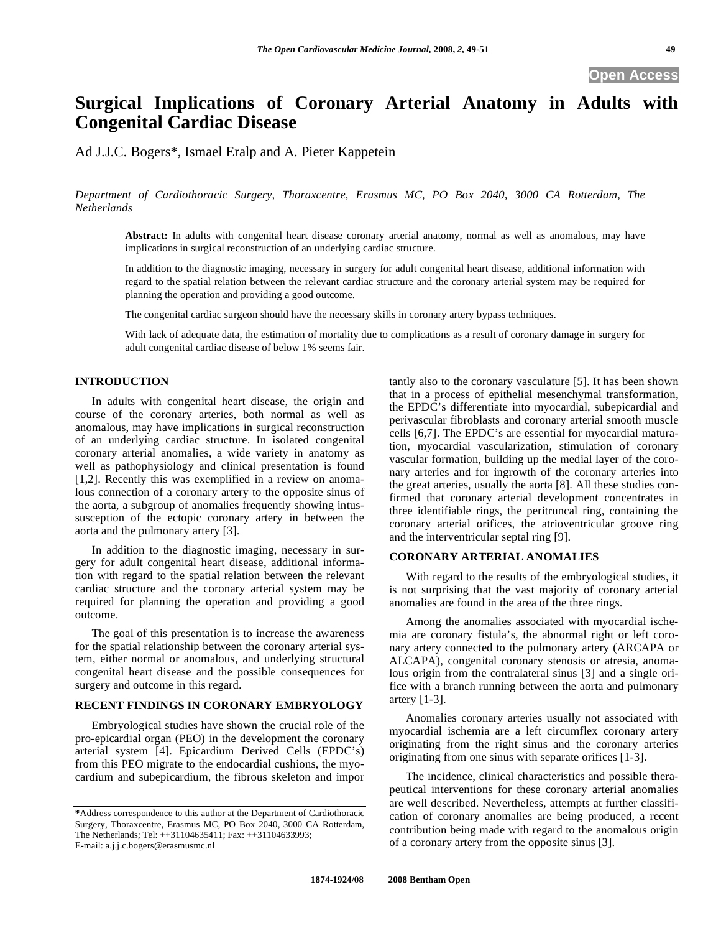# **Surgical Implications of Coronary Arterial Anatomy in Adults with Congenital Cardiac Disease**

Ad J.J.C. Bogers\*, Ismael Eralp and A. Pieter Kappetein

*Department of Cardiothoracic Surgery, Thoraxcentre, Erasmus MC, PO Box 2040, 3000 CA Rotterdam, The Netherlands* 

**Abstract:** In adults with congenital heart disease coronary arterial anatomy, normal as well as anomalous, may have implications in surgical reconstruction of an underlying cardiac structure.

In addition to the diagnostic imaging, necessary in surgery for adult congenital heart disease, additional information with regard to the spatial relation between the relevant cardiac structure and the coronary arterial system may be required for planning the operation and providing a good outcome.

The congenital cardiac surgeon should have the necessary skills in coronary artery bypass techniques.

With lack of adequate data, the estimation of mortality due to complications as a result of coronary damage in surgery for adult congenital cardiac disease of below 1% seems fair.

#### **INTRODUCTION**

In adults with congenital heart disease, the origin and course of the coronary arteries, both normal as well as anomalous, may have implications in surgical reconstruction of an underlying cardiac structure. In isolated congenital coronary arterial anomalies, a wide variety in anatomy as well as pathophysiology and clinical presentation is found [1,2]. Recently this was exemplified in a review on anomalous connection of a coronary artery to the opposite sinus of the aorta, a subgroup of anomalies frequently showing intussusception of the ectopic coronary artery in between the aorta and the pulmonary artery [3].

In addition to the diagnostic imaging, necessary in surgery for adult congenital heart disease, additional information with regard to the spatial relation between the relevant cardiac structure and the coronary arterial system may be required for planning the operation and providing a good outcome.

The goal of this presentation is to increase the awareness for the spatial relationship between the coronary arterial system, either normal or anomalous, and underlying structural congenital heart disease and the possible consequences for surgery and outcome in this regard.

#### **RECENT FINDINGS IN CORONARY EMBRYOLOGY**

Embryological studies have shown the crucial role of the pro-epicardial organ (PEO) in the development the coronary arterial system [4]. Epicardium Derived Cells (EPDC's) from this PEO migrate to the endocardial cushions, the myocardium and subepicardium, the fibrous skeleton and impor

tantly also to the coronary vasculature [5]. It has been shown that in a process of epithelial mesenchymal transformation, the EPDC's differentiate into myocardial, subepicardial and perivascular fibroblasts and coronary arterial smooth muscle cells [6,7]. The EPDC's are essential for myocardial maturation, myocardial vascularization, stimulation of coronary vascular formation, building up the medial layer of the coronary arteries and for ingrowth of the coronary arteries into the great arteries, usually the aorta [8]. All these studies confirmed that coronary arterial development concentrates in three identifiable rings, the peritruncal ring, containing the coronary arterial orifices, the atrioventricular groove ring and the interventricular septal ring [9].

# **CORONARY ARTERIAL ANOMALIES**

With regard to the results of the embryological studies, it is not surprising that the vast majority of coronary arterial anomalies are found in the area of the three rings.

Among the anomalies associated with myocardial ischemia are coronary fistula's, the abnormal right or left coronary artery connected to the pulmonary artery (ARCAPA or ALCAPA), congenital coronary stenosis or atresia, anomalous origin from the contralateral sinus [3] and a single orifice with a branch running between the aorta and pulmonary artery [1-3].

Anomalies coronary arteries usually not associated with myocardial ischemia are a left circumflex coronary artery originating from the right sinus and the coronary arteries originating from one sinus with separate orifices [1-3].

The incidence, clinical characteristics and possible therapeutical interventions for these coronary arterial anomalies are well described. Nevertheless, attempts at further classification of coronary anomalies are being produced, a recent contribution being made with regard to the anomalous origin of a coronary artery from the opposite sinus [3].

**<sup>\*</sup>**Address correspondence to this author at the Department of Cardiothoracic Surgery, Thoraxcentre, Erasmus MC, PO Box 2040, 3000 CA Rotterdam, The Netherlands; Tel: ++31104635411; Fax: ++31104633993; E-mail: a.j.j.c.bogers@erasmusmc.nl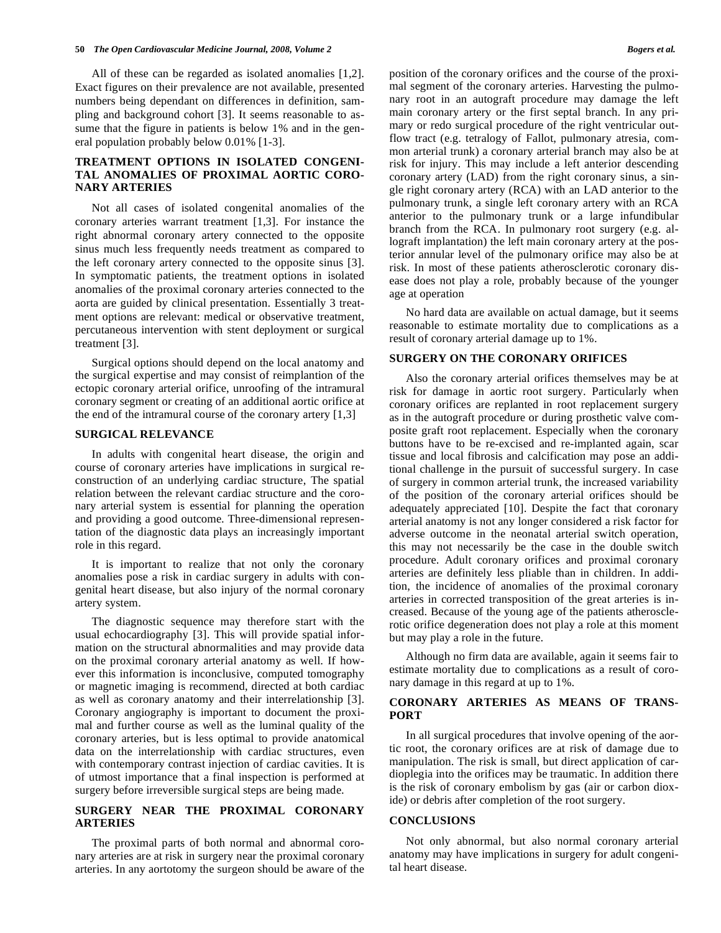All of these can be regarded as isolated anomalies [1,2]. Exact figures on their prevalence are not available, presented numbers being dependant on differences in definition, sampling and background cohort [3]. It seems reasonable to assume that the figure in patients is below 1% and in the general population probably below 0.01% [1-3].

## **TREATMENT OPTIONS IN ISOLATED CONGENI-TAL ANOMALIES OF PROXIMAL AORTIC CORO-NARY ARTERIES**

Not all cases of isolated congenital anomalies of the coronary arteries warrant treatment [1,3]. For instance the right abnormal coronary artery connected to the opposite sinus much less frequently needs treatment as compared to the left coronary artery connected to the opposite sinus [3]. In symptomatic patients, the treatment options in isolated anomalies of the proximal coronary arteries connected to the aorta are guided by clinical presentation. Essentially 3 treatment options are relevant: medical or observative treatment, percutaneous intervention with stent deployment or surgical treatment [3].

Surgical options should depend on the local anatomy and the surgical expertise and may consist of reimplantion of the ectopic coronary arterial orifice, unroofing of the intramural coronary segment or creating of an additional aortic orifice at the end of the intramural course of the coronary artery [1,3]

#### **SURGICAL RELEVANCE**

In adults with congenital heart disease, the origin and course of coronary arteries have implications in surgical reconstruction of an underlying cardiac structure, The spatial relation between the relevant cardiac structure and the coronary arterial system is essential for planning the operation and providing a good outcome. Three-dimensional representation of the diagnostic data plays an increasingly important role in this regard.

It is important to realize that not only the coronary anomalies pose a risk in cardiac surgery in adults with congenital heart disease, but also injury of the normal coronary artery system.

The diagnostic sequence may therefore start with the usual echocardiography [3]. This will provide spatial information on the structural abnormalities and may provide data on the proximal coronary arterial anatomy as well. If however this information is inconclusive, computed tomography or magnetic imaging is recommend, directed at both cardiac as well as coronary anatomy and their interrelationship [3]. Coronary angiography is important to document the proximal and further course as well as the luminal quality of the coronary arteries, but is less optimal to provide anatomical data on the interrelationship with cardiac structures, even with contemporary contrast injection of cardiac cavities. It is of utmost importance that a final inspection is performed at surgery before irreversible surgical steps are being made.

### **SURGERY NEAR THE PROXIMAL CORONARY ARTERIES**

The proximal parts of both normal and abnormal coronary arteries are at risk in surgery near the proximal coronary arteries. In any aortotomy the surgeon should be aware of the position of the coronary orifices and the course of the proximal segment of the coronary arteries. Harvesting the pulmonary root in an autograft procedure may damage the left main coronary artery or the first septal branch. In any primary or redo surgical procedure of the right ventricular outflow tract (e.g. tetralogy of Fallot, pulmonary atresia, common arterial trunk) a coronary arterial branch may also be at risk for injury. This may include a left anterior descending coronary artery (LAD) from the right coronary sinus, a single right coronary artery (RCA) with an LAD anterior to the pulmonary trunk, a single left coronary artery with an RCA anterior to the pulmonary trunk or a large infundibular branch from the RCA. In pulmonary root surgery (e.g. allograft implantation) the left main coronary artery at the posterior annular level of the pulmonary orifice may also be at risk. In most of these patients atherosclerotic coronary disease does not play a role, probably because of the younger age at operation

No hard data are available on actual damage, but it seems reasonable to estimate mortality due to complications as a result of coronary arterial damage up to 1%.

#### **SURGERY ON THE CORONARY ORIFICES**

Also the coronary arterial orifices themselves may be at risk for damage in aortic root surgery. Particularly when coronary orifices are replanted in root replacement surgery as in the autograft procedure or during prosthetic valve composite graft root replacement. Especially when the coronary buttons have to be re-excised and re-implanted again, scar tissue and local fibrosis and calcification may pose an additional challenge in the pursuit of successful surgery. In case of surgery in common arterial trunk, the increased variability of the position of the coronary arterial orifices should be adequately appreciated [10]. Despite the fact that coronary arterial anatomy is not any longer considered a risk factor for adverse outcome in the neonatal arterial switch operation, this may not necessarily be the case in the double switch procedure. Adult coronary orifices and proximal coronary arteries are definitely less pliable than in children. In addition, the incidence of anomalies of the proximal coronary arteries in corrected transposition of the great arteries is increased. Because of the young age of the patients atherosclerotic orifice degeneration does not play a role at this moment but may play a role in the future.

Although no firm data are available, again it seems fair to estimate mortality due to complications as a result of coronary damage in this regard at up to 1%.

#### **CORONARY ARTERIES AS MEANS OF TRANS-PORT**

In all surgical procedures that involve opening of the aortic root, the coronary orifices are at risk of damage due to manipulation. The risk is small, but direct application of cardioplegia into the orifices may be traumatic. In addition there is the risk of coronary embolism by gas (air or carbon dioxide) or debris after completion of the root surgery.

#### **CONCLUSIONS**

Not only abnormal, but also normal coronary arterial anatomy may have implications in surgery for adult congenital heart disease.